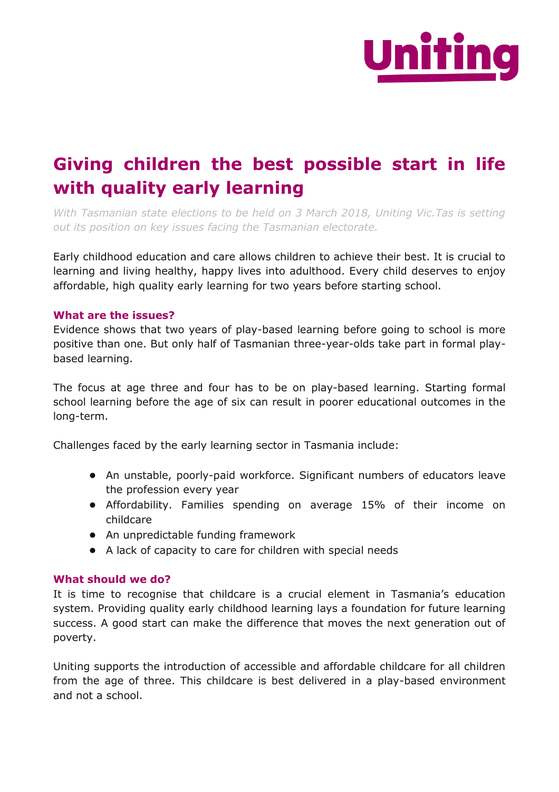

## **Giving children the best possible start in life with quality early learning**

*With Tasmanian state elections to be held on 3 March 2018, Uniting Vic.Tas is setting out its position on key issues facing the Tasmanian electorate.*

Early childhood education and care allows children to achieve their best. It is crucial to learning and living healthy, happy lives into adulthood. Every child deserves to enjoy affordable, high quality early learning for two years before starting school.

## **What are the issues?**

Evidence shows that two years of play-based learning before going to school is more positive than one. But only half of Tasmanian three-year-olds take part in formal playbased learning.

The focus at age three and four has to be on play-based learning. Starting formal school learning before the age of six can result in poorer educational outcomes in the long-term.

Challenges faced by the early learning sector in Tasmania include:

- An unstable, poorly-paid workforce. Significant numbers of educators leave the profession every year
- Affordability. Families spending on average 15% of their income on childcare
- An unpredictable funding framework
- A lack of capacity to care for children with special needs

## **What should we do?**

It is time to recognise that childcare is a crucial element in Tasmania's education system. Providing quality early childhood learning lays a foundation for future learning success. A good start can make the difference that moves the next generation out of poverty.

Uniting supports the introduction of accessible and affordable childcare for all children from the age of three. This childcare is best delivered in a play-based environment and not a school.